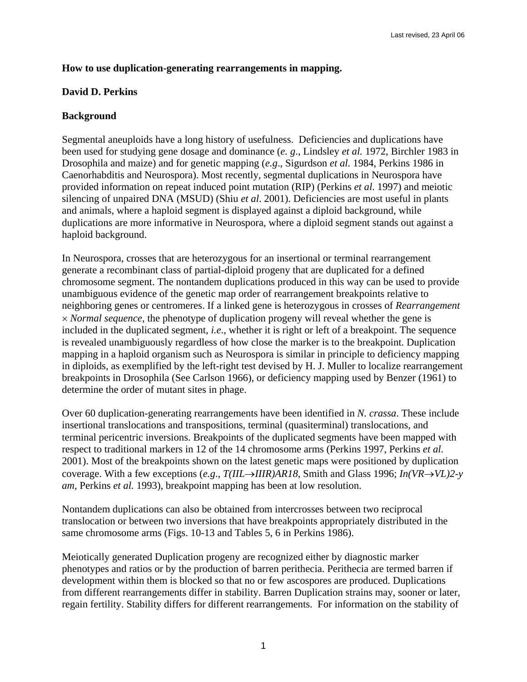# **How to use duplication-generating rearrangements in mapping.**

# **David D. Perkins**

## **Background**

Segmental aneuploids have a long history of usefulness. Deficiencies and duplications have been used for studying gene dosage and dominance (*e. g*., Lindsley *et al.* 1972, Birchler 1983 in Drosophila and maize) and for genetic mapping (*e.g*., Sigurdson *et al.* 1984, Perkins 1986 in Caenorhabditis and Neurospora). Most recently, segmental duplications in Neurospora have provided information on repeat induced point mutation (RIP) (Perkins *et al*. 1997) and meiotic silencing of unpaired DNA (MSUD) (Shiu *et al*. 2001). Deficiencies are most useful in plants and animals, where a haploid segment is displayed against a diploid background, while duplications are more informative in Neurospora, where a diploid segment stands out against a haploid background.

In Neurospora, crosses that are heterozygous for an insertional or terminal rearrangement generate a recombinant class of partial-diploid progeny that are duplicated for a defined chromosome segment. The nontandem duplications produced in this way can be used to provide unambiguous evidence of the genetic map order of rearrangement breakpoints relative to neighboring genes or centromeres. If a linked gene is heterozygous in crosses of *Rearrangement*  × *Normal sequence*, the phenotype of duplication progeny will reveal whether the gene is included in the duplicated segment, *i.e*., whether it is right or left of a breakpoint. The sequence is revealed unambiguously regardless of how close the marker is to the breakpoint. Duplication mapping in a haploid organism such as Neurospora is similar in principle to deficiency mapping in diploids, as exemplified by the left-right test devised by H. J. Muller to localize rearrangement breakpoints in Drosophila (See Carlson 1966), or deficiency mapping used by Benzer (1961) to determine the order of mutant sites in phage.

Over 60 duplication-generating rearrangements have been identified in *N. crassa*. These include insertional translocations and transpositions, terminal (quasiterminal) translocations, and terminal pericentric inversions. Breakpoints of the duplicated segments have been mapped with respect to traditional markers in 12 of the 14 chromosome arms (Perkins 1997, Perkins *et al.* 2001). Most of the breakpoints shown on the latest genetic maps were positioned by duplication coverage. With a few exceptions (*e.g*., *T(IIL*→*IIIR)AR18*, Smith and Glass 1996; *In(VR*→*VL)2-y am*, Perkins *et al.* 1993), breakpoint mapping has been at low resolution.

Nontandem duplications can also be obtained from intercrosses between two reciprocal translocation or between two inversions that have breakpoints appropriately distributed in the same chromosome arms (Figs. 10-13 and Tables 5, 6 in Perkins 1986).

Meiotically generated Duplication progeny are recognized either by diagnostic marker phenotypes and ratios or by the production of barren perithecia. Perithecia are termed barren if development within them is blocked so that no or few ascospores are produced. Duplications from different rearrangements differ in stability. Barren Duplication strains may, sooner or later, regain fertility. Stability differs for different rearrangements. For information on the stability of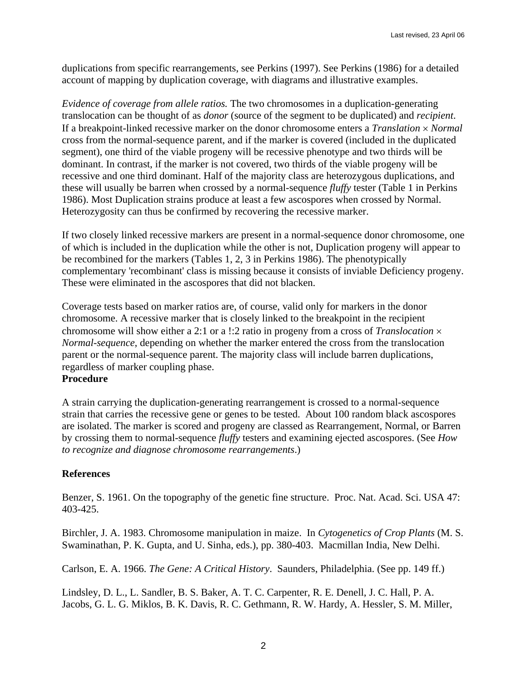duplications from specific rearrangements, see Perkins (1997). See Perkins (1986) for a detailed account of mapping by duplication coverage, with diagrams and illustrative examples.

*Evidence of coverage from allele ratios.* The two chromosomes in a duplication-generating translocation can be thought of as *donor* (source of the segment to be duplicated) and *recipient*. If a breakpoint-linked recessive marker on the donor chromosome enters a *Translation* × *Normal* cross from the normal-sequence parent, and if the marker is covered (included in the duplicated segment), one third of the viable progeny will be recessive phenotype and two thirds will be dominant. In contrast, if the marker is not covered, two thirds of the viable progeny will be recessive and one third dominant. Half of the majority class are heterozygous duplications, and these will usually be barren when crossed by a normal-sequence *fluffy* tester (Table 1 in Perkins 1986). Most Duplication strains produce at least a few ascospores when crossed by Normal. Heterozygosity can thus be confirmed by recovering the recessive marker.

If two closely linked recessive markers are present in a normal-sequence donor chromosome, one of which is included in the duplication while the other is not, Duplication progeny will appear to be recombined for the markers (Tables 1, 2, 3 in Perkins 1986). The phenotypically complementary 'recombinant' class is missing because it consists of inviable Deficiency progeny. These were eliminated in the ascospores that did not blacken.

Coverage tests based on marker ratios are, of course, valid only for markers in the donor chromosome. A recessive marker that is closely linked to the breakpoint in the recipient chromosome will show either a 2:1 or a !:2 ratio in progeny from a cross of *Translocation* × *Normal-sequence*, depending on whether the marker entered the cross from the translocation parent or the normal-sequence parent. The majority class will include barren duplications, regardless of marker coupling phase.

### **Procedure**

A strain carrying the duplication-generating rearrangement is crossed to a normal-sequence strain that carries the recessive gene or genes to be tested. About 100 random black ascospores are isolated. The marker is scored and progeny are classed as Rearrangement, Normal, or Barren by crossing them to normal-sequence *fluffy* testers and examining ejected ascospores. (See *How to recognize and diagnose chromosome rearrangements*.)

### **References**

Benzer, S. 1961. On the topography of the genetic fine structure. Proc. Nat. Acad. Sci. USA 47: 403-425.

Birchler, J. A. 1983. Chromosome manipulation in maize. In *Cytogenetics of Crop Plants* (M. S. Swaminathan, P. K. Gupta, and U. Sinha, eds.), pp. 380-403. Macmillan India, New Delhi.

Carlson, E. A. 1966. *The Gene: A Critical History*. Saunders, Philadelphia. (See pp. 149 ff.)

Lindsley, D. L., L. Sandler, B. S. Baker, A. T. C. Carpenter, R. E. Denell, J. C. Hall, P. A. Jacobs, G. L. G. Miklos, B. K. Davis, R. C. Gethmann, R. W. Hardy, A. Hessler, S. M. Miller,